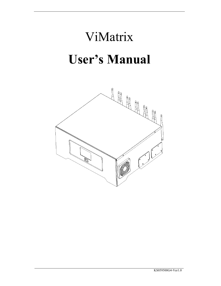# ViMatrix  **User's Manual**

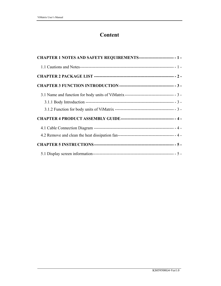## **Content**

| CHAPTER 1 NOTES AND SAFETY REQUIREMENTS-------------------------- - 1 -                 |  |
|-----------------------------------------------------------------------------------------|--|
|                                                                                         |  |
|                                                                                         |  |
|                                                                                         |  |
| 3.1 Name and function for body units of ViMatrix--------------------------------- - 3 - |  |
|                                                                                         |  |
|                                                                                         |  |
|                                                                                         |  |
|                                                                                         |  |
|                                                                                         |  |
|                                                                                         |  |
|                                                                                         |  |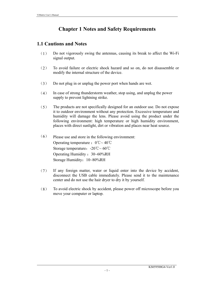## **Chapter 1 Notes and Safety Requirements**

#### **1.1 Cautions and Notes**

- (1) Do not vigorously swing the antennas, causing its break to affect the Wi-Fi signal output.
- (2) To avoid failure or electric shock hazard and so on, do not disassemble or modify the internal structure of the device.
- (3) Do not plug in or unplug the power port when hands are wet.
- (4) In case of strong thunderstorm weather, stop using, and unplug the power supply to prevent lightning strike.
- (5) The products are not specifically designed for an outdoor use. Do not expose it to outdoor environment without any protection. Excessive temperature and humidity will damage the lens. Please avoid using the product under the following environment: high temperature or high humidity environment, places with direct sunlight, dirt or vibration and places near heat source.
- (6) Please use and store in the following environment: Operating temperature :  $0^{\circ}\text{C} \sim 40^{\circ}\text{C}$ Storage temperature:  $-20^{\circ}\text{C} \sim 60^{\circ}\text{C}$ Operating Humidity : 30~60%RH Storage Humidity:  $10~80\%$ RH
- (7) If any foreign matter, water or liquid enter into the device by accident, disconnect the USB cable immediately. Please send it to the maintenance center and do not use the hair dryer to dry it by yourself.
- (8) To avoid electric shock by accident, please power off microscope before you move your computer or laptop.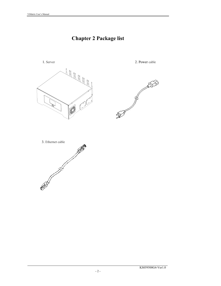# **Chapter 2 Package list**

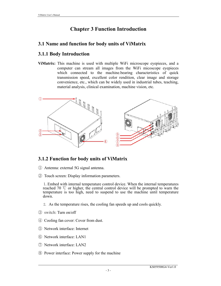# **Chapter 3 Function Introduction**

## **3.1 Name and function for body units of ViMatrix**

## **3.1.1 Body Introduction**

**ViMatrix:** This machine is used with multiple WiFi microscope eyepieces, and a computer can stream all images from the WiFi micoscope eyepieces which connected to the machine.bearing characteristics of quick transmission speed, excellent color rendition, clear image and storage convenience, etc., which can be widely used in industrial tubes, teaching, material analysis, clinical examination, machine vision, etc.



#### **3.1.2 Function for body units of ViMatrix**

- ① Antenna: external 5G signal antenna.
- ② Touch screen: Display information parameters.

 1.Embed with internal temperature control device. When the internal temperatures reached 70 ℃ or higher, the central control device will be prompted to warn the temperature is too high, need to suspend to use the machine until temperature down.

- 2. As the temperature rises, the cooling fan speeds up and cools quickly.
- ③ switch: Turn on/off
- ④ Cooling fan cover: Cover from dust.
- ⑤ Network interface: Internet
- ⑥ Network interface: LAN1
- ⑦ Network interface: LAN2
- ⑧ Power interface: Power supply for the machine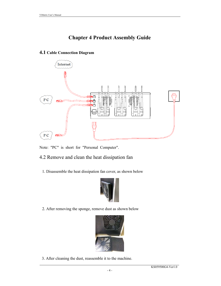# **Chapter 4 Product Assembly Guide**

#### **4.1 Cable Connection Diagram**



Note: "PC" is short for "Personal Computer".

#### 4.2 Remove and clean the heat dissipation fan

1.Disassemble the heat dissipation fan cover, as shown below



2.After removing the sponge, remove dust as shown below



3.After cleaning the dust, reassemble it to the machine.